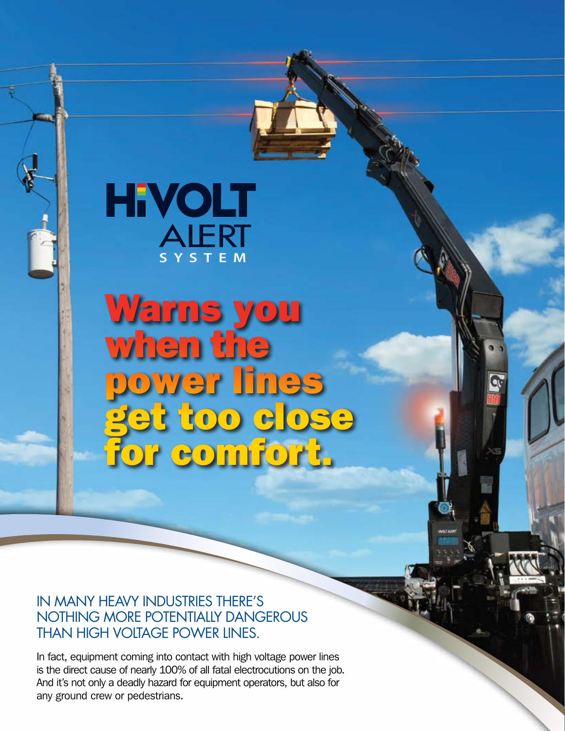# **SYSTEM HEVOLT**<br>ALERT

Warns you when the power lines get too close for comfort.

### IN MANY HEAVY INDUSTRIES THERE'S NOTHING MORE POTENTIALLY DANGEROUS THAN HIGH VOLTAGE POWER LINES.

In fact, equipment coming into contact with high voltage power lines is the direct cause of nearly 100% of all fatal electrocutions on the job. And it's not only a deadly hazard for equipment operators, but also for any ground crew or pedestrians.